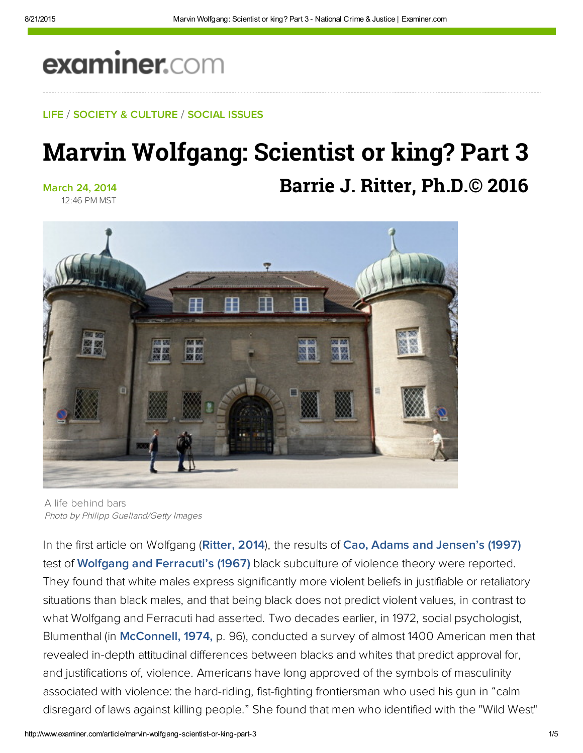# examiner.com

#### LIFE / SOCIETY & CULTURE / SOCIAL ISSUES

## Marvin Wolfgang: Scientist or king? Part 3 **Barrie J. Ritter, Ph.D.© 2016**

March 24, 2014 12:46 PM MST



A life behind bars Photo by Philipp Guelland/Getty Images

In the first article on Wolfgang ([Ritter, 2014](http://www.ritterhomicideresearch.com/articles/Marvin-Wolfgang.pdf)), the results of [Cao, Adams and Jensen's \(1997\)](http://onlinelibrary.wiley.com/doi/10.1111/j.1745-9125.1997.tb00880.x/abstract) test of [Wolfgang and Ferracuti's \(1967\)](https://books.google.com/books/about/The_subculture_of_violence.html?id=U15HAAAAMAAJ) black subculture of violence theory were reported. They found that white males express significantly more violent beliefs in justifiable or retaliatory situations than black males, and that being black does not predict violent values, in contrast to what Wolfgang and Ferracuti had asserted. Two decades earlier, in 1972, social psychologist, Blumenthal (in [McConnell, 1974,](http://bit.ly/OMyHHQ) p. 96), conducted a survey of almost 1400 American men that revealed in-depth attitudinal differences between blacks and whites that predict approval for, and justifications of, violence. Americans have long approved of the symbols of masculinity associated with violence: the hard-riding, fist-fighting frontiersman who used his gun in "calm disregard of laws against killing people." She found that men who identified with the "Wild West"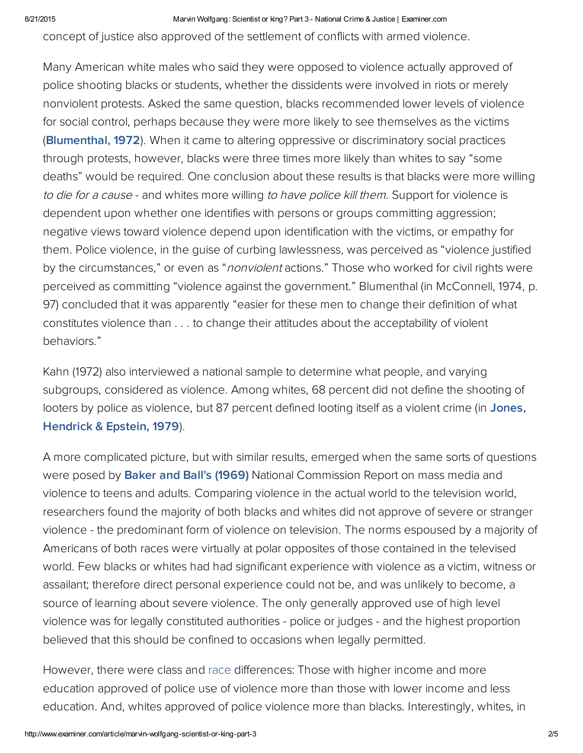8/21/2015 Marvin Wolfgang: Scientist or king? Part 3 National Crime & Justice | Examiner.com

concept of justice also approved of the settlement of conflicts with armed violence.

Many American white males who said they were opposed to violence actually approved of police shooting blacks or students, whether the dissidents were involved in riots or merely nonviolent protests. Asked the same question, blacks recommended lower levels of violence for social control, perhaps because they were more likely to see themselves as the victims ([Blumenthal, 1972\)](http://onlinelibrary.wiley.com/doi/10.1111/j.1540-4560.1972.tb00009.x/full). When it came to altering oppressive or discriminatory social practices through protests, however, blacks were three times more likely than whites to say "some deaths" would be required. One conclusion about these results is that blacks were more willing to die for a cause - and whites more willing to have police kill them. Support for violence is dependent upon whether one identifies with persons or groups committing aggression; negative views toward violence depend upon identification with the victims, or empathy for them. Police violence, in the guise of curbing lawlessness, was perceived as "violence justified by the circumstances," or even as "*nonviolent* actions." Those who worked for civil rights were perceived as committing "violence against the government." Blumenthal (in McConnell, 1974, p. 97) concluded that it was apparently "easier for these men to change their definition of what constitutes violence than . . . to change their attitudes about the acceptability of violent behaviors."

Kahn (1972) also interviewed a national sample to determine what people, and varying subgroups, considered as violence. Among whites, 68 percent did not define the shooting of [looters by police as violence, but 87 percent defined looting itself as a violent crime \(in Jones,](https://books.google.com/books?id=PErZTQ7LkmwC&pg=PA3&lpg=PA3&dq=Jones+hendrick+and+epstein+1979&source=bl&ots=MRABTDjfKV&sig=mZFIinCldmyXGwpxVIqPMPmhx3w&hl=en&sa=X&ved=0ahUKEwiciuymwN7PAhXkx4MKHQqaCYYQ6AEIKDAC#v=onepage&q=Jones%20hendrick%20and%20epstein%201979&f=false) Hendrick & Epstein, 1979).

A more complicated picture, but with similar results, emerged when the same sorts of questions were posed by [Baker and Ball's \(1969\)](https://archive.org/stream/massmediaviolenc00bakerich/massmediaviolenc00bakerich_djvu.txt) National Commission Report on mass media and violence to teens and adults. Comparing violence in the actual world to the television world, researchers found the majority of both blacks and whites did not approve of severe or stranger violence - the predominant form of violence on television. The norms espoused by a majority of Americans of both races were virtually at polar opposites of those contained in the televised world. Few blacks or whites had had significant experience with violence as a victim, witness or assailant; therefore direct personal experience could not be, and was unlikely to become, a source of learning about severe violence. The only generally approved use of high level violence was for legally constituted authorities - police or judges - and the highest proportion believed that this should be confined to occasions when legally permitted.

However, there were class and race differences: Those with higher income and more education approved of police use of violence more than those with lower income and less education. And, whites approved of police violence more than blacks. Interestingly, whites, in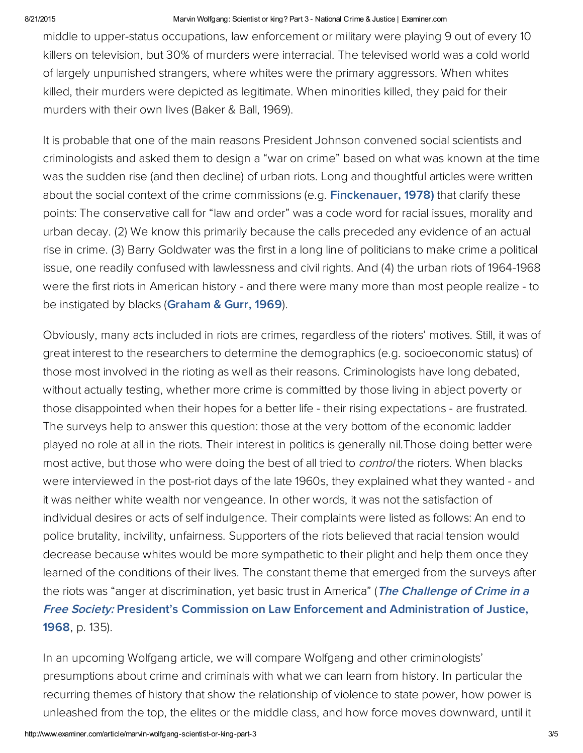#### 8/21/2015 Marvin Wolfgang: Scientist or king? Part 3 National Crime & Justice | Examiner.com

middle to upper-status occupations, law enforcement or military were playing 9 out of every 10 killers on television, but 30% of murders were interracial. The televised world was a cold world of largely unpunished strangers, where whites were the primary aggressors. When whites killed, their murders were depicted as legitimate. When minorities killed, they paid for their murders with their own lives (Baker & Ball, 1969).

It is probable that one of the main reasons President Johnson convened social scientists and criminologists and asked them to design a "war on crime" based on what was known at the time was the sudden rise (and then decline) of urban riots. Long and thoughtful articles were written about the social context of the crime commissions (e.g. [Finckenauer,](https://books.google.com/books?id=DwG2CQAAQBAJ&pg=PA1314&dq=finckenauer,+1978&hl=en&sa=X&ved=0ahUKEwj-1pqOwt7PAhUp3IMKHQU6BIYQ6AEIMDAD#v=onepage&q=finckenauer%2C%201978&f=false) 1978) that clarify these points: The conservative call for "law and order" was a code word for racial issues, morality and urban decay. (2) We know this primarily because the calls preceded any evidence of an actual rise in crime. (3) Barry Goldwater was the first in a long line of politicians to make crime a political issue, one readily confused with lawlessness and civil rights. And (4) the urban riots of 1964-1968 were the first riots in American history - and there were many more than most people realize - to be instigated by blacks ([Graham](http://bit.ly/1kWywoH) & Gurr, 1969).

Obviously, many acts included in riots are crimes, regardless of the rioters' motives. Still, it was of great interest to the researchers to determine the demographics (e.g. socioeconomic status) of those most involved in the rioting as well as their reasons. Criminologists have long debated, without actually testing, whether more crime is committed by those living in abject poverty or those disappointed when their hopes for a better life - their rising expectations - are frustrated. The surveys help to answer this question: those at the very bottom of the economic ladder played no role at all in the riots. Their interest in politics is generally nil.Those doing better were most active, but those who were doing the best of all tried to *control* the rioters. When blacks were interviewed in the post-riot days of the late 1960s, they explained what they wanted - and it was neither white wealth nor vengeance. In other words, it was not the satisfaction of individual desires or acts of self indulgence. Their complaints were listed as follows: An end to police brutality, incivility, unfairness. Supporters of the riots believed that racial tension would decrease because whites would be more sympathetic to their plight and help them once they learned of the conditions of their lives. The constant theme that emerged from the surveys after the riots was "anger at discrimination, yet basic trust in America" (The Challenge of Crime in a Free Society: President's Commission on Law Enforcement and Administration of Justice, 1968, p. 135).

In an upcoming Wolfgang article, we will compare Wolfgang and other criminologists' presumptions about crime and criminals with what we can learn from history. In particular the recurring themes of history that show the relationship of violence to state power, how power is unleashed from the top, the elites or the middle class, and how force moves downward, until it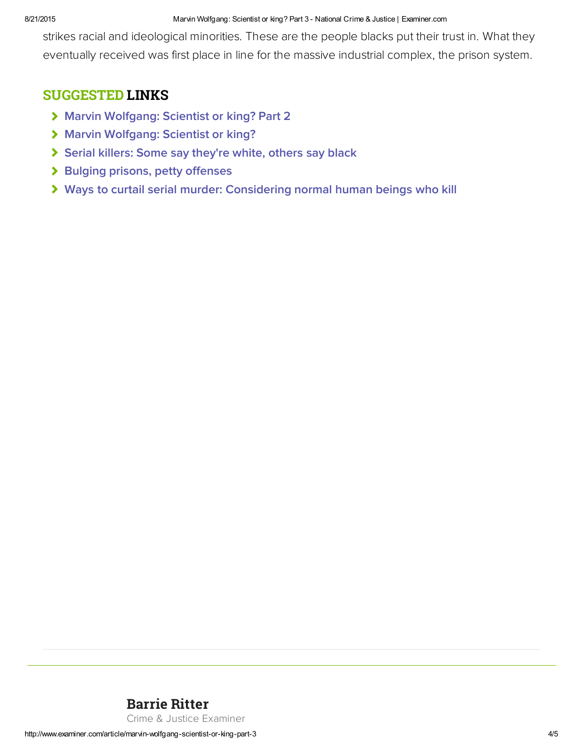#### 8/21/2015 Marvin Wolfgang: Scientist or king? Part 3 National Crime & Justice | Examiner.com

strikes racial and ideological minorities. These are the people blacks put their trust in. What they eventually received was first place in line for the massive industrial complex, the prison system.

### SUGGESTED LINKS

- > [Marvin Wolfgang: Scientist or king? Part 2](http://www.ritterhomicideresearch.com/articles/Marvin-Wolfgang_Part-2.pdf)
- > [Marvin Wolfgang: Scientist or king?](http://www.ritterhomicideresearch.com/articles/Marvin-Wolfgang.pdf)
- [Serial killers: Some say they're white, others say black](http://www.ritterhomicideresearch.com/articles/Serial-killers_Some-say-white-others-say-black.pdf)
- > [Bulging prisons, petty offenses](http://www.ritterhomicideresearch.com/articles/Bulging-prisons_petty-offenses.pdf)
- [Ways to curtail serial murder: Considering normal human beings who kill](http://www.ritterhomicideresearch.com/articles/Ways-to-curtail-Serial-Murder_normal-humans-who-kill.pdf)

## [Barrie Ritter](http://www.ritterhomicideresearch.com)

Crime & Justice Examiner

http://www.examiner.com/article/marvin-wolfgang-scientist-or-king-part-3 4/5